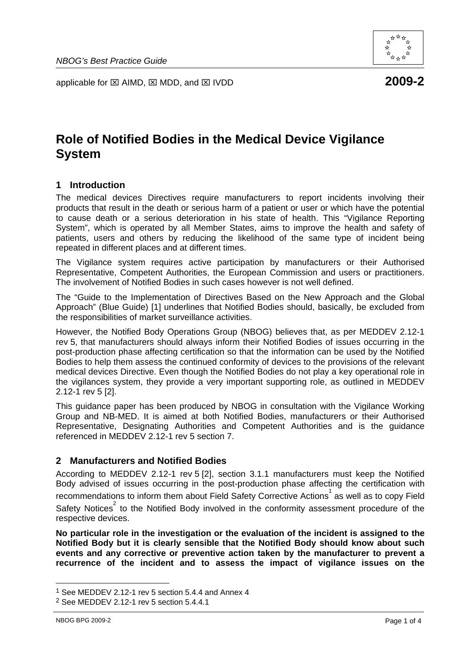applicable for ⊠ AIMD, ⊠ MDD, and ⊠ IVDD **2009-2** 

# **Role of Notified Bodies in the Medical Device Vigilance**

## **1 Introduction**

**System** 

The medical devices Directives require manufacturers to report incidents involving their products that result in the death or serious harm of a patient or user or which have the potential to cause death or a serious deterioration in his state of health. This "Vigilance Reporting System", which is operated by all Member States, aims to improve the health and safety of patients, users and others by reducing the likelihood of the same type of incident being repeated in different places and at different times.

The Vigilance system requires active participation by manufacturers or their Authorised Representative, Competent Authorities, the European Commission and users or practitioners. The involvement of Notified Bodies in such cases however is not well defined.

The "Guide to the Implementation of Directives Based on the New Approach and the Global Approach" (Blue Guide) [1] underlines that Notified Bodies should, basically, be excluded from the responsibilities of market surveillance activities.

However, the Notified Body Operations Group (NBOG) believes that, as per MEDDEV 2.12-1 rev 5, that manufacturers should always inform their Notified Bodies of issues occurring in the post-production phase affecting certification so that the information can be used by the Notified Bodies to help them assess the continued conformity of devices to the provisions of the relevant medical devices Directive. Even though the Notified Bodies do not play a key operational role in the vigilances system, they provide a very important supporting role, as outlined in MEDDEV 2.12-1 rev 5 [2].

This guidance paper has been produced by NBOG in consultation with the Vigilance Working Group and NB-MED. It is aimed at both Notified Bodies, manufacturers or their Authorised Representative, Designating Authorities and Competent Authorities and is the guidance referenced in MEDDEV 2.12-1 rev 5 section 7.

#### **2 Manufacturers and Notified Bodies**

According to MEDDEV 2.12-1 rev 5 [2], section 3.1.1 manufacturers must keep the Notified Body advised of issues occurring in the post-production phase affecting the certification with recommendations to inform them about Field Safety Corrective Actions<sup>1</sup> as well as to copy Field Safety Notices<sup>2</sup> to the Notified Body involved in the conformity assessment procedure of the respective devices.

**No particular role in the investigation or the evaluation of the incident is assigned to the Notified Body but it is clearly sensible that the Notified Body should know about such events and any corrective or preventive action taken by the manufacturer to prevent a recurrence of the incident and to assess the impact of vigilance issues on the** 



<sup>1</sup> See MEDDEV 2.12-1 rev 5 section 5.4.4 and Annex 4

<sup>2</sup> See MEDDEV 2.12-1 rev 5 section 5.4.4.1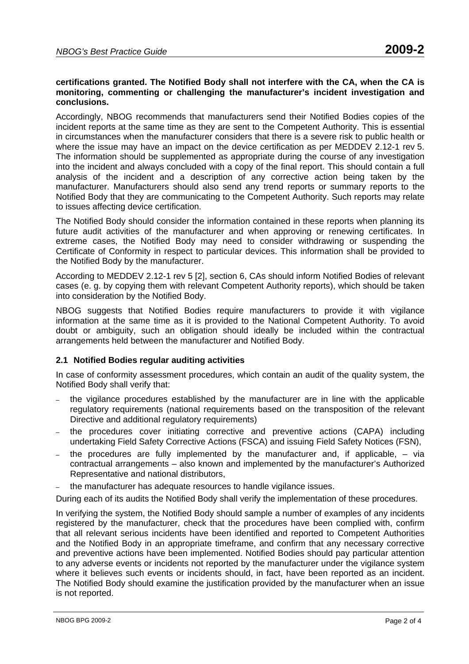#### **certifications granted. The Notified Body shall not interfere with the CA, when the CA is monitoring, commenting or challenging the manufacturer's incident investigation and conclusions.**

Accordingly, NBOG recommends that manufacturers send their Notified Bodies copies of the incident reports at the same time as they are sent to the Competent Authority. This is essential in circumstances when the manufacturer considers that there is a severe risk to public health or where the issue may have an impact on the device certification as per MEDDEV 2.12-1 rev 5. The information should be supplemented as appropriate during the course of any investigation into the incident and always concluded with a copy of the final report. This should contain a full analysis of the incident and a description of any corrective action being taken by the manufacturer. Manufacturers should also send any trend reports or summary reports to the Notified Body that they are communicating to the Competent Authority. Such reports may relate to issues affecting device certification.

The Notified Body should consider the information contained in these reports when planning its future audit activities of the manufacturer and when approving or renewing certificates. In extreme cases, the Notified Body may need to consider withdrawing or suspending the Certificate of Conformity in respect to particular devices. This information shall be provided to the Notified Body by the manufacturer.

According to MEDDEV 2.12-1 rev 5 [2], section 6, CAs should inform Notified Bodies of relevant cases (e. g. by copying them with relevant Competent Authority reports), which should be taken into consideration by the Notified Body.

NBOG suggests that Notified Bodies require manufacturers to provide it with vigilance information at the same time as it is provided to the National Competent Authority. To avoid doubt or ambiguity, such an obligation should ideally be included within the contractual arrangements held between the manufacturer and Notified Body.

#### **2.1 Notified Bodies regular auditing activities**

In case of conformity assessment procedures, which contain an audit of the quality system, the Notified Body shall verify that:

- the vigilance procedures established by the manufacturer are in line with the applicable regulatory requirements (national requirements based on the transposition of the relevant Directive and additional regulatory requirements)
- the procedures cover initiating corrective and preventive actions (CAPA) including undertaking Field Safety Corrective Actions (FSCA) and issuing Field Safety Notices (FSN),
- the procedures are fully implemented by the manufacturer and, if applicable,  $-$  via contractual arrangements – also known and implemented by the manufacturer's Authorized Representative and national distributors,
- the manufacturer has adequate resources to handle vigilance issues.

During each of its audits the Notified Body shall verify the implementation of these procedures.

In verifying the system, the Notified Body should sample a number of examples of any incidents registered by the manufacturer, check that the procedures have been complied with, confirm that all relevant serious incidents have been identified and reported to Competent Authorities and the Notified Body in an appropriate timeframe, and confirm that any necessary corrective and preventive actions have been implemented. Notified Bodies should pay particular attention to any adverse events or incidents not reported by the manufacturer under the vigilance system where it believes such events or incidents should, in fact, have been reported as an incident. The Notified Body should examine the justification provided by the manufacturer when an issue is not reported.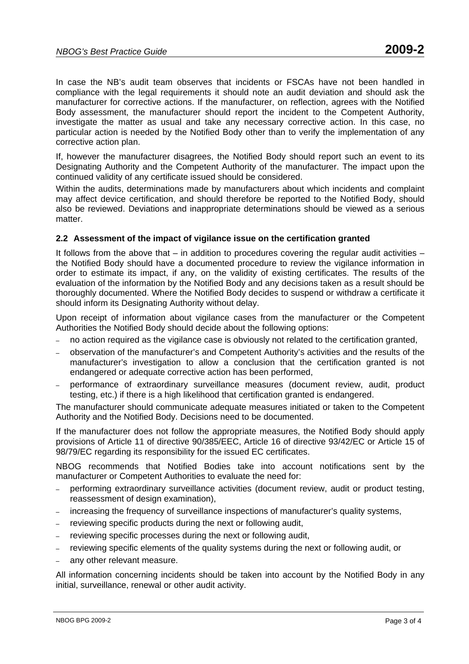In case the NB's audit team observes that incidents or FSCAs have not been handled in compliance with the legal requirements it should note an audit deviation and should ask the manufacturer for corrective actions. If the manufacturer, on reflection, agrees with the Notified Body assessment, the manufacturer should report the incident to the Competent Authority, investigate the matter as usual and take any necessary corrective action. In this case, no particular action is needed by the Notified Body other than to verify the implementation of any corrective action plan.

If, however the manufacturer disagrees, the Notified Body should report such an event to its Designating Authority and the Competent Authority of the manufacturer. The impact upon the continued validity of any certificate issued should be considered.

Within the audits, determinations made by manufacturers about which incidents and complaint may affect device certification, and should therefore be reported to the Notified Body, should also be reviewed. Deviations and inappropriate determinations should be viewed as a serious matter.

#### **2.2 Assessment of the impact of vigilance issue on the certification granted**

It follows from the above that – in addition to procedures covering the regular audit activities – the Notified Body should have a documented procedure to review the vigilance information in order to estimate its impact, if any, on the validity of existing certificates. The results of the evaluation of the information by the Notified Body and any decisions taken as a result should be thoroughly documented. Where the Notified Body decides to suspend or withdraw a certificate it should inform its Designating Authority without delay.

Upon receipt of information about vigilance cases from the manufacturer or the Competent Authorities the Notified Body should decide about the following options:

- no action required as the vigilance case is obviously not related to the certification granted,
- observation of the manufacturer's and Competent Authority's activities and the results of the manufacturer's investigation to allow a conclusion that the certification granted is not endangered or adequate corrective action has been performed,
- performance of extraordinary surveillance measures (document review, audit, product testing, etc.) if there is a high likelihood that certification granted is endangered.

The manufacturer should communicate adequate measures initiated or taken to the Competent Authority and the Notified Body. Decisions need to be documented.

If the manufacturer does not follow the appropriate measures, the Notified Body should apply provisions of Article 11 of directive 90/385/EEC, Article 16 of directive 93/42/EC or Article 15 of 98/79/EC regarding its responsibility for the issued EC certificates.

NBOG recommends that Notified Bodies take into account notifications sent by the manufacturer or Competent Authorities to evaluate the need for:

- performing extraordinary surveillance activities (document review, audit or product testing, reassessment of design examination),
- increasing the frequency of surveillance inspections of manufacturer's quality systems,
- reviewing specific products during the next or following audit,
- reviewing specific processes during the next or following audit,
- reviewing specific elements of the quality systems during the next or following audit, or
- any other relevant measure.

All information concerning incidents should be taken into account by the Notified Body in any initial, surveillance, renewal or other audit activity.